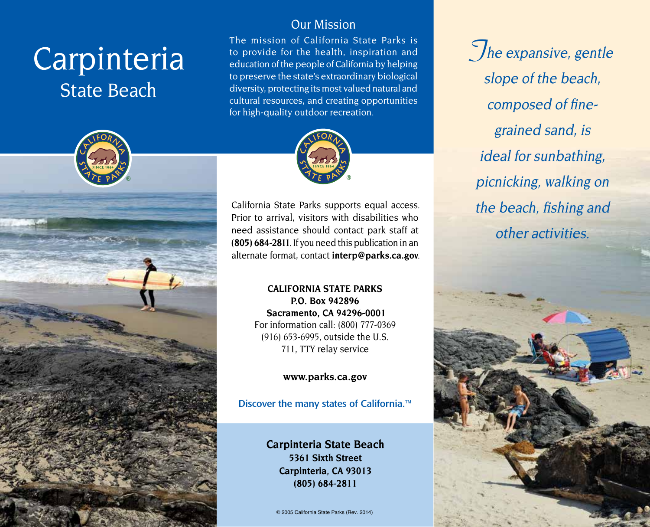# Carpinteria State Beach



# Our Mission

The mission of California State Parks is to provide for the health, inspiration and education of the people of California by helping to preserve the state's extraordinary biological diversity, protecting its most valued natural and cultural resources, and creating opportunities for high-quality outdoor recreation.



California State Parks supports equal access. Prior to arrival, visitors with disabilities who need assistance should contact park staff at **(805) 684-2811**. If you need this publication in an alternate format, contact **[interp@parks.ca.gov](mailto:interp@parks.ca.gov)**.

> **CALIFORNIA STATE PARKS P.O. Box 942896 Sacramento, CA 94296-0001** For information call: (800) 777-0369 (916) 653-6995, outside the U.S. 711, TTY relay service

> > **[www.parks.ca.gov](http://www.parks.ca.gov)**

Discover the many states of California.<sup>™</sup>

**Carpinteria State Beach 5361 Sixth Street Carpinteria, CA 93013 (805) 684-2811** 

© 2005 California State Parks (Rev. 2014)

**The expansive, gentle** slope of the beach, composed of finegrained sand, is ideal for sunbathing, picnicking, walking on the beach, fishing and other activities.

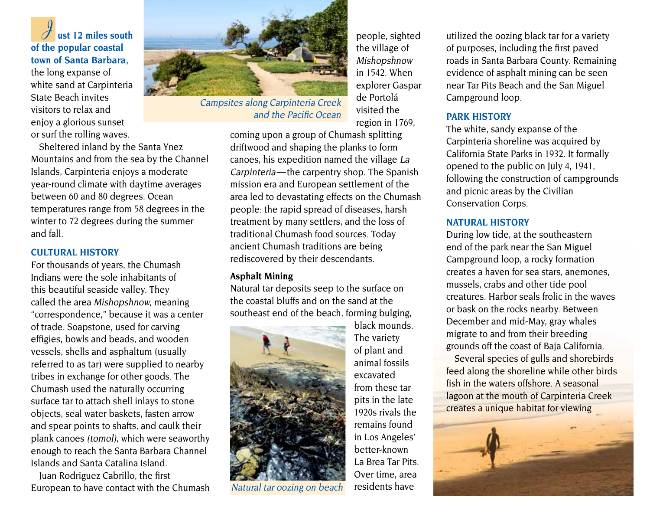**J** ust 12 miles south of the popular coastal town of Santa Barbara.

the long expanse of white sand at Carpinteria State Beach invites visitors to relax and enjoy a glorious sunset or surf the rolling waves.

Sheltered inland by the Santa Ynez Mountains and from the sea by the Channel Islands, Carpinteria enjoys a moderate year-round climate with daytime averages between 60 and 80 degrees. Ocean temperatures range from 58 degrees in the winter to 72 degrees during the summer and fall.

#### **CULTURAL HISTORY**

For thousands of years, the Chumash Indians were the sole inhabitants of this beautiful seaside valley. They called the area Mishopshnow, meaning "correspondence," because it was a center of trade. Soapstone, used for carving effigies, bowls and beads, and wooden vessels, shells and asphaltum (usually referred to as tar) were supplied to nearby tribes in exchange for other goods. The Chumash used the naturally occurring surface tar to attach shell inlays to stone objects, seal water baskets, fasten arrow and spear points to shafts, and caulk their plank canoes (tomol), which were seaworthy enough to reach the Santa Barbara Channel Islands and Santa Catalina Island.

Juan Rodriguez Cabrillo, the first European to have contact with the Chumash



Campsites along Carpinteria Creek and the Pacific Ocean

people, sighted the village of Mishopshnow in 1542. When explorer Gaspar de Portolá visited the region in 1769,

coming upon a group of Chumash splitting driftwood and shaping the planks to form canoes, his expedition named the village La Carpinteria — the carpentry shop. The Spanish mission era and European settlement of the area led to devastating effects on the Chumash people: the rapid spread of diseases, harsh treatment by many settlers, and the loss of traditional Chumash food sources. Today ancient Chumash traditions are being rediscovered by their descendants.

#### **Asphalt Mining**

Natural tar deposits seep to the surface on the coastal bluffs and on the sand at the southeast end of the beach, forming bulging,



Natural tar oozing on beach

black mounds. The variety of plant and animal fossils excavated from these tar pits in the late 1920s rivals the remains found in Los Angeles' better-known La Brea Tar Pits. Over time, area residents have

utilized the oozing black tar for a variety of purposes, including the first paved roads in Santa Barbara County. Remaining evidence of asphalt mining can be seen near Tar Pits Beach and the San Miguel Campground loop.

#### **PARK HISTORY**

The white, sandy expanse of the Carpinteria shoreline was acquired by California State Parks in 1932. It formally opened to the public on July 4, 1941, following the construction of campgrounds and picnic areas by the Civilian Conservation Corps.

#### **NATURAL HISTORY**

During low tide, at the southeastern end of the park near the San Miguel Campground loop, a rocky formation creates a haven for sea stars, anemones, mussels, crabs and other tide pool creatures. Harbor seals frolic in the waves or bask on the rocks nearby. Between December and mid-May, gray whales migrate to and from their breeding grounds off the coast of Baja California.

Several species of gulls and shorebirds feed along the shoreline while other birds fish in the waters offshore. A seasonal lagoon at the mouth of Carpinteria Creek creates a unique habitat for viewing

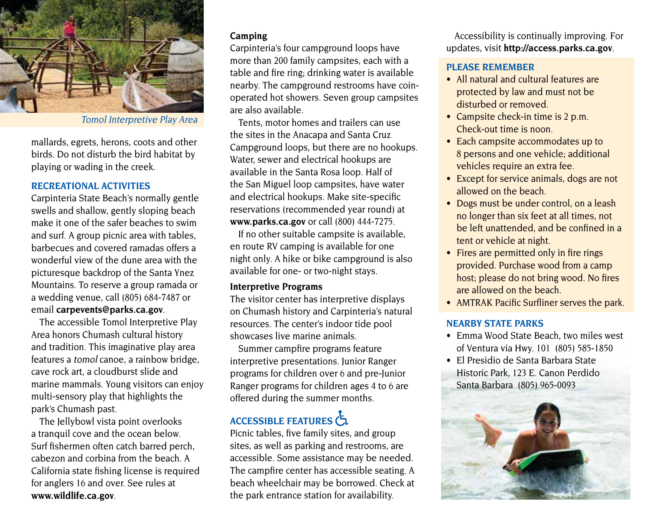

Tomol Interpretive Play Area

mallards, egrets, herons, coots and other birds. Do not disturb the bird habitat by playing or wading in the creek.

# **RECREATIONAL ACTIVITIES**

Carpinteria State Beach's normally gentle swells and shallow, gently sloping beach make it one of the safer beaches to swim and surf. A group picnic area with tables, barbecues and covered ramadas offers a wonderful view of the dune area with the picturesque backdrop of the Santa Ynez Mountains. To reserve a group ramada or a wedding venue, call (805) 684-7487 or email **[carpevents@parks.ca.gov](mailto:carpevents@parks.ca.gov)**.

The accessible Tomol Interpretive Play Area honors Chumash cultural history and tradition. This imaginative play area features a tomol canoe, a rainbow bridge, cave rock art, a cloudburst slide and marine mammals. Young visitors can enjoy multi-sensory play that highlights the park's Chumash past.

The Jellybowl vista point overlooks a tranquil cove and the ocean below. Surf fishermen often catch barred perch, cabezon and corbina from the beach. A California state fishing license is required for anglers 16 and over. See rules at **[www.wildlife.ca.gov](http://www.wildlife.ca.gov)**.

# **Camping**

Carpinteria's four campground loops have more than 200 family campsites, each with a table and fire ring; drinking water is available nearby. The campground restrooms have coinoperated hot showers. Seven group campsites are also available.

Tents, motor homes and trailers can use the sites in the Anacapa and Santa Cruz Campground loops, but there are no hookups. Water, sewer and electrical hookups are available in the Santa Rosa loop. Half of the San Miguel loop campsites, have water and electrical hookups. Make site-specific reservations (recommended year round) at **[www.parks.ca.gov](http://www.parks.ca.gov)** or call (800) 444-7275.

If no other suitable campsite is available, en route RV camping is available for one night only. A hike or bike campground is also available for one- or two-night stays.

#### **Interpretive Programs**

The visitor center has interpretive displays on Chumash history and Carpinteria's natural resources. The center's indoor tide pool showcases live marine animals.

Summer campfire programs feature interpretive presentations. Junior Ranger programs for children over 6 and pre-Junior Ranger programs for children ages 4 to 6 are offered during the summer months.

# ACCESSIBLE FEATURES

Picnic tables, five family sites, and group sites, as well as parking and restrooms, are accessible. Some assistance may be needed. The campfire center has accessible seating. A beach wheelchair may be borrowed. Check at the park entrance station for availability.

Accessibility is continually improving. For updates, visit **<http://access.parks.ca.gov>**.

## **PLEASE REMEMBER**

- All natural and cultural features are protected by law and must not be disturbed or removed.
- Campsite check-in time is  $2$  p.m. Check-out time is noon.
- Each campsite accommodates up to 8 persons and one vehicle; additional vehicles require an extra fee.
- Except for service animals, dogs are not allowed on the beach.
- Dogs must be under control, on a leash no longer than six feet at all times, not be left unattended, and be confined in a tent or vehicle at night.
- Fires are permitted only in fire rings provided. Purchase wood from a camp host; please do not bring wood. No fires are allowed on the beach.
- AMTRAK Pacific Surfliner serves the park.

## **NEARBY STATE PARKS**

- Emma Wood State Beach, two miles west of Ventura via Hwy. 101 (805) 585-1850
- El Presidio de Santa Barbara State Historic Park, 123 E. Canon Perdido Santa Barbara (805) 965-0093